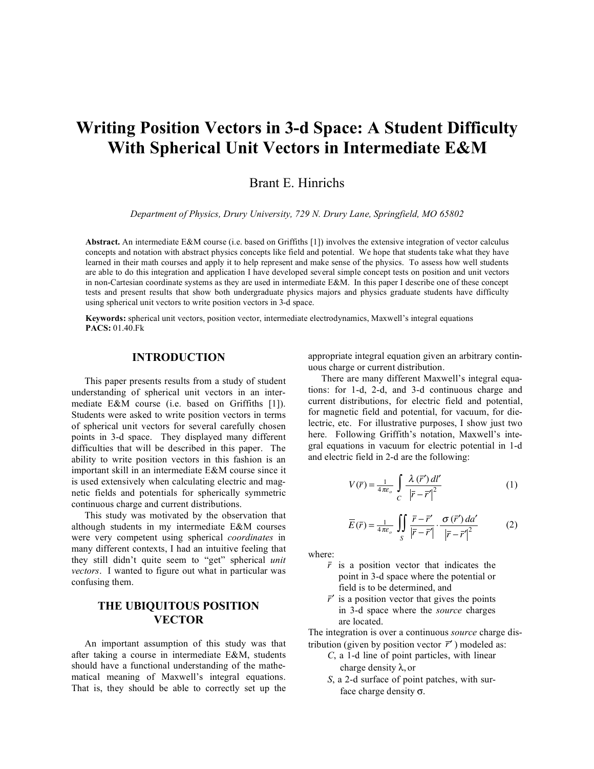# **Writing Position Vectors in 3-d Space: A Student Difficulty With Spherical Unit Vectors in Intermediate E&M**

Brant E. Hinrichs

*Department of Physics, Drury University, 729 N. Drury Lane, Springfield, MO 65802*

**Abstract.** An intermediate E&M course (i.e. based on Griffiths [1]) involves the extensive integration of vector calculus concepts and notation with abstract physics concepts like field and potential. We hope that students take what they have learned in their math courses and apply it to help represent and make sense of the physics. To assess how well students are able to do this integration and application I have developed several simple concept tests on position and unit vectors in non-Cartesian coordinate systems as they are used in intermediate E&M. In this paper I describe one of these concept tests and present results that show both undergraduate physics majors and physics graduate students have difficulty using spherical unit vectors to write position vectors in 3-d space.

**Keywords:** spherical unit vectors, position vector, intermediate electrodynamics, Maxwell's integral equations **PACS:** 01.40.Fk

### **INTRODUCTION**

This paper presents results from a study of student understanding of spherical unit vectors in an intermediate E&M course (i.e. based on Griffiths [1]). Students were asked to write position vectors in terms of spherical unit vectors for several carefully chosen points in 3-d space. They displayed many different difficulties that will be described in this paper. The ability to write position vectors in this fashion is an important skill in an intermediate E&M course since it is used extensively when calculating electric and magnetic fields and potentials for spherically symmetric continuous charge and current distributions.

This study was motivated by the observation that although students in my intermediate E&M courses were very competent using spherical *coordinates* in many different contexts, I had an intuitive feeling that they still didn't quite seem to "get" spherical *unit vectors*. I wanted to figure out what in particular was confusing them.

## **THE UBIQUITOUS POSITION VECTOR**

An important assumption of this study was that after taking a course in intermediate E&M, students should have a functional understanding of the mathematical meaning of Maxwell's integral equations. That is, they should be able to correctly set up the

appropriate integral equation given an arbitrary continuous charge or current distribution.

There are many different Maxwell's integral equations: for 1-d, 2-d, and 3-d continuous charge and current distributions, for electric field and potential, for magnetic field and potential, for vacuum, for dielectric, etc. For illustrative purposes, I show just two here. Following Griffith's notation, Maxwell's integral equations in vacuum for electric potential in 1-d and electric field in 2-d are the following:

$$
V(\bar{r}) = \frac{1}{4\pi\epsilon_o} \int\limits_C \frac{\lambda (\bar{r}') \, dl'}{\left|\bar{r} - \bar{r}'\right|^2} \tag{1}
$$

$$
\overline{E}(\overline{r}) = \frac{1}{4\pi\epsilon_o} \iint\limits_{S} \frac{\overline{r} - \overline{r}'}{\left|\overline{r} - \overline{r}'\right|} \cdot \frac{\sigma(\overline{r}') da'}{\left|\overline{r} - \overline{r}'\right|^2}
$$
(2)

where:

- $\bar{r}$  is a position vector that indicates the point in 3-d space where the potential or field is to be determined, and
- $\bar{r}'$  is a position vector that gives the points in 3-d space where the *source* charges are located.

The integration is over a continuous *source* charge distribution (given by position vector  $\vec{r}'$ ) modeled as:

- *C*, a 1-d line of point particles, with linear charge density  $\lambda$ , or
- *S*, a 2-d surface of point patches, with surface charge density  $\sigma$ .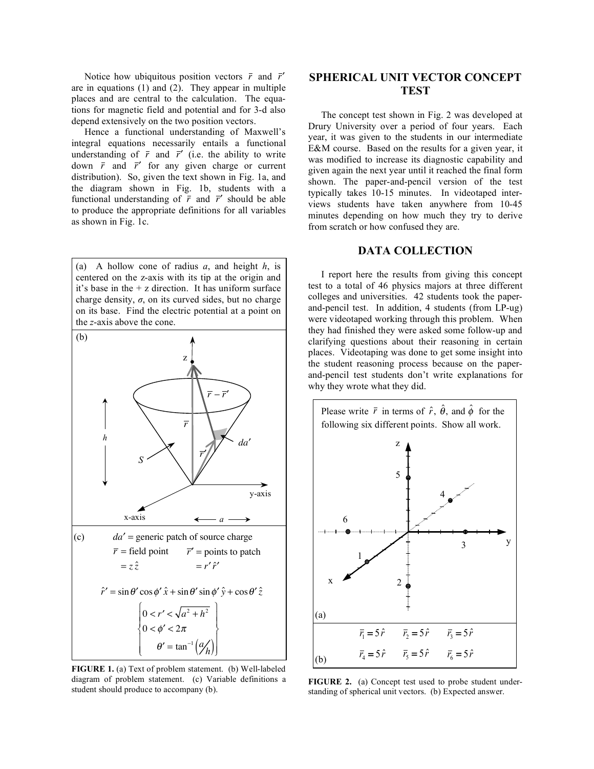Notice how ubiquitous position vectors  $\bar{r}$  and  $\bar{r}'$ are in equations  $(1)$  and  $(2)$ . They appear in multiple places and are central to the calculation. The equations for magnetic field and potential and for 3-d also depend extensively on the two position vectors.

Hence a functional understanding of Maxwell's integral equations necessarily entails a functional understanding of  $\bar{r}$  and  $\bar{r}'$  (i.e. the ability to write down  $\bar{r}$  and  $\bar{r}'$  for any given charge or current distribution). So, given the text shown in Fig. 1a, and the diagram shown in Fig. 1b, students with a functional understanding of  $\bar{r}$  and  $\bar{r}'$  should be able to produce the appropriate definitions for all variables as shown in Fig. 1c.

(a) A hollow cone of radius *a*, and height *h*, is centered on the z-axis with its tip at the origin and it's base in the + z direction. It has uniform surface charge density,  $\sigma$ , on its curved sides, but no charge on its base. Find the electric potential at a point on the *z*-axis above the cone.



**FIGURE 1.** (a) Text of problem statement. (b) Well-labeled diagram of problem statement. (c) Variable definitions a student should produce to accompany (b).

## **SPHERICAL UNIT VECTOR CONCEPT TEST**

The concept test shown in Fig. 2 was developed at Drury University over a period of four years. Each year, it was given to the students in our intermediate E&M course. Based on the results for a given year, it was modified to increase its diagnostic capability and given again the next year until it reached the final form shown. The paper-and-pencil version of the test typically takes 10-15 minutes. In videotaped interviews students have taken anywhere from 10-45 minutes depending on how much they try to derive from scratch or how confused they are.

#### **DATA COLLECTION**

I report here the results from giving this concept test to a total of 46 physics majors at three different colleges and universities. 42 students took the paperand-pencil test. In addition, 4 students (from LP-ug) were videotaped working through this problem. When they had finished they were asked some follow-up and clarifying questions about their reasoning in certain places. Videotaping was done to get some insight into the student reasoning process because on the paperand-pencil test students don't write explanations for why they wrote what they did.



**FIGURE 2.** (a) Concept test used to probe student understanding of spherical unit vectors. (b) Expected answer.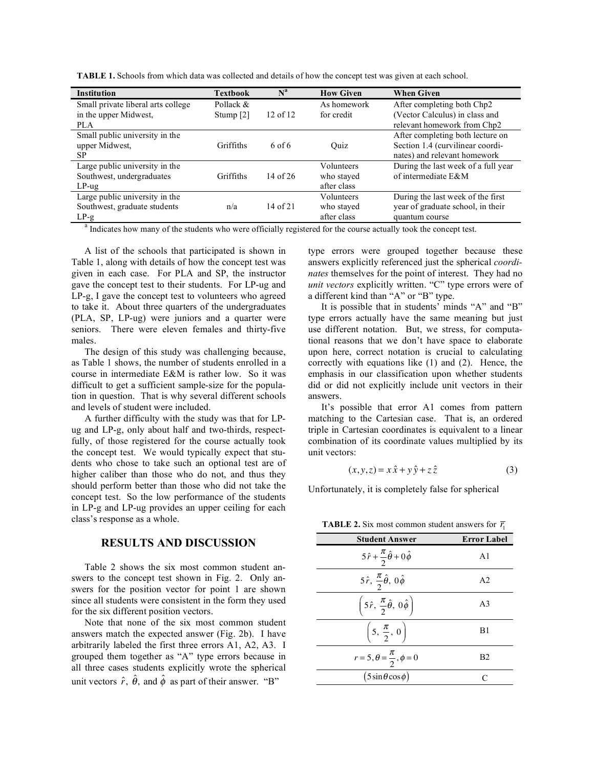**TABLE 1.** Schools from which data was collected and details of how the concept test was given at each school.

| <b>Institution</b>                 | <b>Textbook</b>      | $N^a$        | <b>How Given</b> | <b>When Given</b>                   |
|------------------------------------|----------------------|--------------|------------------|-------------------------------------|
| Small private liberal arts college | Pollack $&$          |              | As homework      | After completing both Chp2          |
| in the upper Midwest,              | Stump <sup>[2]</sup> | $12$ of $12$ | for credit       | (Vector Calculus) in class and      |
| <b>PLA</b>                         |                      |              |                  | relevant homework from Chp2         |
| Small public university in the     |                      |              |                  | After completing both lecture on    |
| upper Midwest.                     | Griffiths            | 6 of 6       | Ouiz             | Section 1.4 (curvilinear coordi-    |
| SP.                                |                      |              |                  | nates) and relevant homework        |
| Large public university in the     |                      |              | Volunteers       | During the last week of a full year |
| Southwest, undergraduates          | Griffiths            | $14$ of $26$ | who stayed       | of intermediate E&M                 |
| $LP$ -ug                           |                      |              | after class      |                                     |
| Large public university in the     |                      |              | Volunteers       | During the last week of the first   |
| Southwest, graduate students       | n/a                  | $14$ of $21$ | who stayed       | year of graduate school, in their   |
| $LP-g$                             |                      |              | after class      | quantum course                      |

<sup>a</sup> Indicates how many of the students who were officially registered for the course actually took the concept test.

A list of the schools that participated is shown in Table 1, along with details of how the concept test was given in each case. For PLA and SP, the instructor gave the concept test to their students. For LP-ug and LP-g, I gave the concept test to volunteers who agreed to take it. About three quarters of the undergraduates (PLA, SP, LP-ug) were juniors and a quarter were seniors. There were eleven females and thirty-five males.

The design of this study was challenging because, as Table 1 shows, the number of students enrolled in a course in intermediate E&M is rather low. So it was difficult to get a sufficient sample-size for the population in question. That is why several different schools and levels of student were included.

A further difficulty with the study was that for LPug and LP-g, only about half and two-thirds, respectfully, of those registered for the course actually took the concept test. We would typically expect that students who chose to take such an optional test are of higher caliber than those who do not, and thus they should perform better than those who did not take the concept test. So the low performance of the students in LP-g and LP-ug provides an upper ceiling for each class's response as a whole.

### **RESULTS AND DISCUSSION**

Table 2 shows the six most common student answers to the concept test shown in Fig. 2. Only answers for the position vector for point 1 are shown since all students were consistent in the form they used for the six different position vectors.

Note that none of the six most common student answers match the expected answer (Fig. 2b). I have arbitrarily labeled the first three errors A1, A2, A3. I grouped them together as "A" type errors because in all three cases students explicitly wrote the spherical unit vectors  $\hat{r}$ ,  $\hat{\theta}$ , and  $\hat{\phi}$  as part of their answer. "B"

type errors were grouped together because these answers explicitly referenced just the spherical *coordinates* themselves for the point of interest. They had no *unit vectors* explicitly written. "C" type errors were of a different kind than "A" or "B" type.

It is possible that in students' minds "A" and "B" type errors actually have the same meaning but just use different notation. But, we stress, for computational reasons that we don't have space to elaborate upon here, correct notation is crucial to calculating correctly with equations like (1) and (2). Hence, the emphasis in our classification upon whether students did or did not explicitly include unit vectors in their answers.

It's possible that error A1 comes from pattern matching to the Cartesian case. That is, an ordered triple in Cartesian coordinates is equivalent to a linear combination of its coordinate values multiplied by its unit vectors:

$$
(x, y, z) = x\hat{x} + y\hat{y} + z\hat{z}
$$
 (3)

Unfortunately, it is completely false for spherical

**Student Answer Error Label**  $5\hat{r}+$  $\pi$ 2  $\hat{\theta} + 0\,\hat{\phi}$  $A<sub>1</sub>$ 5 $\hat{r}$ ,  $\frac{\pi}{2}$  $\hat{\theta}$ , 0 $\hat{\phi}$  $A2$ 5 $\hat{r}$ ,  $\frac{\pi}{2}$  $\left(5\hat{r},\,\frac{\pi}{2}\hat{\theta},\,0\hat{\phi}\right)$  $\overline{A}$ 3 5, 2  $\left(5, \frac{\pi}{2}, 0\right)$  $\overline{\phantom{a}}$  $\overline{\phantom{a}}$ ' B1  $r = 5, \theta = \frac{\pi}{2}, \phi = 0$  B2  $(5\sin\theta\cos\phi)$  C

**TABLE 2.** Six most common student answers for  $\overline{r_1}$